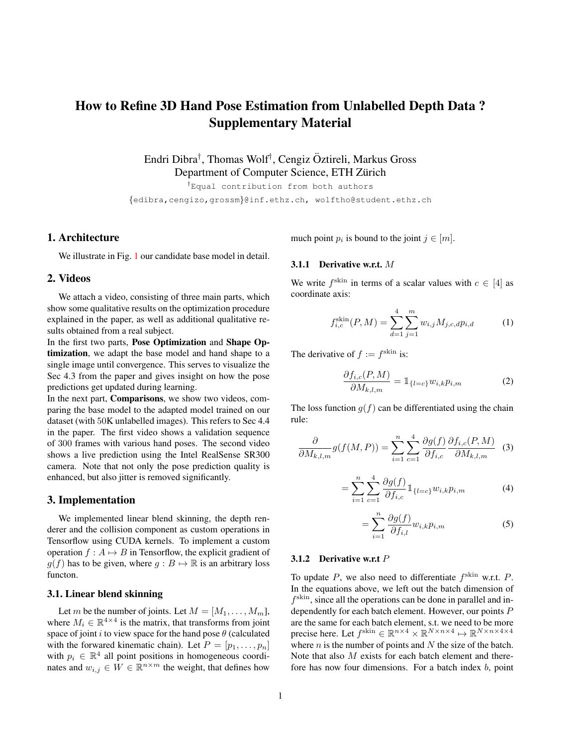# How to Refine 3D Hand Pose Estimation from Unlabelled Depth Data ? Supplementary Material

Endri Dibra† , Thomas Wolf† , Cengiz Oztireli, Markus Gross ¨ Department of Computer Science, ETH Zürich

†Equal contribution from both authors {edibra,cengizo,grossm}@inf.ethz.ch, wolftho@student.ethz.ch

## 1. Architecture

We illustrate in Fig. [1](#page-1-0) our candidate base model in detail.

#### 2. Videos

We attach a video, consisting of three main parts, which show some qualitative results on the optimization procedure explained in the paper, as well as additional qualitative results obtained from a real subject.

In the first two parts, Pose Optimization and Shape Optimization, we adapt the base model and hand shape to a single image until convergence. This serves to visualize the Sec 4.3 from the paper and gives insight on how the pose predictions get updated during learning.

In the next part, Comparisons, we show two videos, comparing the base model to the adapted model trained on our dataset (with 50K unlabelled images). This refers to Sec 4.4 in the paper. The first video shows a validation sequence of 300 frames with various hand poses. The second video shows a live prediction using the Intel RealSense SR300 camera. Note that not only the pose prediction quality is enhanced, but also jitter is removed significantly.

#### 3. Implementation

We implemented linear blend skinning, the depth renderer and the collision component as custom operations in Tensorflow using CUDA kernels. To implement a custom operation  $f : A \mapsto B$  in Tensorflow, the explicit gradient of  $g(f)$  has to be given, where  $g : B \mapsto \mathbb{R}$  is an arbitrary loss functon.

#### 3.1. Linear blend skinning

Let m be the number of joints. Let  $M = [M_1, \ldots, M_m]$ , where  $M_i \in \mathbb{R}^{4 \times 4}$  is the matrix, that transforms from joint space of joint i to view space for the hand pose  $\theta$  (calculated with the forwared kinematic chain). Let  $P = [p_1, \ldots, p_n]$ with  $p_i \in \mathbb{R}^4$  all point positions in homogeneous coordinates and  $w_{i,j} \in \overline{W} \in \mathbb{R}^{n \times m}$  the weight, that defines how much point  $p_i$  is bound to the joint  $j \in [m]$ .

# 3.1.1 Derivative w.r.t. M

We write  $f^{\text{skin}}$  in terms of a scalar values with  $c \in [4]$  as coordinate axis:

<span id="page-0-0"></span>
$$
f_{i,c}^{\text{skin}}(P,M) = \sum_{d=1}^{4} \sum_{j=1}^{m} w_{i,j} M_{j,c,d} p_{i,d}
$$
 (1)

The derivative of  $f := f^{\text{skin}}$  is:

$$
\frac{\partial f_{i,c}(P,M)}{\partial M_{k,l,m}} = \mathbb{1}_{\{l=c\}} w_{i,k} p_{i,m} \tag{2}
$$

The loss function  $q(f)$  can be differentiated using the chain rule:

$$
\frac{\partial}{\partial M_{k,l,m}} g(f(M,P)) = \sum_{i=1}^n \sum_{c=1}^4 \frac{\partial g(f)}{\partial f_{i,c}} \frac{\partial f_{i,c}(P,M)}{\partial M_{k,l,m}} \tag{3}
$$

$$
= \sum_{i=1}^{n} \sum_{c=1}^{4} \frac{\partial g(f)}{\partial f_{i,c}} \mathbb{1}_{\{l=c\}} w_{i,k} p_{i,m} \tag{4}
$$

$$
=\sum_{i=1}^{n}\frac{\partial g(f)}{\partial f_{i,l}}w_{i,k}p_{i,m}\tag{5}
$$

# 3.1.2 Derivative w.r.t  $P$

To update  $P$ , we also need to differentiate  $f^{\text{skin}}$  w.r.t.  $P$ . In the equations above, we left out the batch dimension of  $f<sup>skin</sup>$ , since all the operations can be done in parallel and independently for each batch element. However, our points P are the same for each batch element, s.t. we need to be more precise here. Let  $f^{\text{skin}} \in \mathbb{R}^{n \times 4} \times \mathbb{R}^{N \times n \times 4} \mapsto \mathbb{R}^{N \times n \times 4 \times 4}$ where  $n$  is the number of points and  $N$  the size of the batch. Note that also M exists for each batch element and therefore has now four dimensions. For a batch index  $b$ , point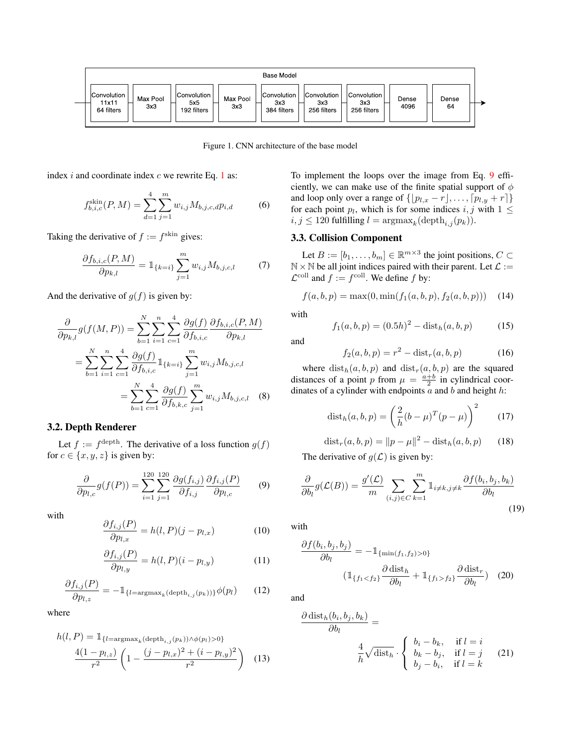

<span id="page-1-0"></span>Figure 1. CNN architecture of the base model

index  $i$  and coordinate index  $c$  we rewrite Eq. [1](#page-0-0) as:

$$
f_{b,i,c}^{\text{skin}}(P,M) = \sum_{d=1}^{4} \sum_{j=1}^{m} w_{i,j} M_{b,j,c,d} p_{i,d} \tag{6}
$$

Taking the derivative of  $f := f^{\text{skin}}$  gives:

$$
\frac{\partial f_{b,i,c}(P,M)}{\partial p_{k,l}} = \mathbb{1}_{\{k=i\}} \sum_{j=1}^{m} w_{i,j} M_{b,j,c,l} \tag{7}
$$

And the derivative of  $g(f)$  is given by:

$$
\frac{\partial}{\partial p_{k,l}} g(f(M, P)) = \sum_{b=1}^{N} \sum_{i=1}^{n} \sum_{c=1}^{4} \frac{\partial g(f)}{\partial f_{b,i,c}} \frac{\partial f_{b,i,c}(P, M)}{\partial p_{k,l}} \n= \sum_{b=1}^{N} \sum_{i=1}^{n} \sum_{c=1}^{4} \frac{\partial g(f)}{\partial f_{b,i,c}} 1_{\{k=i\}} \sum_{j=1}^{m} w_{i,j} M_{b,j,c,l} \n= \sum_{b=1}^{N} \sum_{c=1}^{4} \frac{\partial g(f)}{\partial f_{b,k,c}} \sum_{j=1}^{m} w_{i,j} M_{b,j,c,l}
$$
\n(8)

## 3.2. Depth Renderer

Let  $f := f^{\text{depth}}$ . The derivative of a loss function  $g(f)$ for  $c \in \{x, y, z\}$  is given by:

<span id="page-1-1"></span>
$$
\frac{\partial}{\partial p_{l,c}}g(f(P)) = \sum_{i=1}^{120} \sum_{j=1}^{120} \frac{\partial g(f_{i,j})}{\partial f_{i,j}} \frac{\partial f_{i,j}(P)}{\partial p_{l,c}} \qquad (9)
$$

with

$$
\frac{\partial f_{i,j}(P)}{\partial p_{l,x}} = h(l,P)(j - p_{l,x}) \tag{10}
$$

$$
\frac{\partial f_{i,j}(P)}{\partial p_{l,y}} = h(l,P)(i - p_{l,y})\tag{11}
$$

$$
\frac{\partial f_{i,j}(P)}{\partial p_{l,z}} = -\mathbb{1}_{\{l = \operatorname{argmax}_k(\operatorname{depth}_{i,j}(p_k))\}} \phi(p_l) \tag{12}
$$

where

$$
h(l, P) = \mathbb{1}_{\{l = \arg\max_{k}(\text{depth}_{i,j}(p_k)) \land \phi(p_l) > 0\}} \frac{4(1 - p_{l,z})}{r^2} \left(1 - \frac{(j - p_{l,x})^2 + (i - p_{l,y})^2}{r^2}\right) \tag{13}
$$

To implement the loops over the image from Eq. [9](#page-1-1) efficiently, we can make use of the finite spatial support of  $\phi$ and loop only over a range of  $\{p_{l,x} - r, \ldots, p_{l,y} + r\}$ for each point  $p_l$ , which is for some indices  $i, j$  with  $1 \leq$  $i, j \leq 120$  fulfilling  $l = \operatorname{argmax}_{k}(\operatorname{depth}_{i,j}(p_k)).$ 

# 3.3. Collision Component

Let  $B := [b_1, \ldots, b_m] \in \mathbb{R}^{m \times 3}$  the joint positions,  $C \subset$  $\mathbb{N} \times \mathbb{N}$  be all joint indices paired with their parent. Let  $\mathcal{L} :=$  $\mathcal{L}^{\text{coll}}$  and  $f := f^{\text{coll}}$ . We define f by:

$$
f(a, b, p) = \max(0, \min(f_1(a, b, p), f_2(a, b, p))) \quad (14)
$$

with

and

$$
f_1(a, b, p) = (0.5h)^2 - \text{dist}_h(a, b, p) \tag{15}
$$

$$
f_2(a, b, p) = r^2 - \text{dist}_r(a, b, p)
$$
 (16)

where  $dist_h(a, b, p)$  and  $dist_r(a, b, p)$  are the squared distances of a point p from  $\mu = \frac{a+b}{2}$  in cylindrical coordinates of a cylinder with endpoints  $\overline{a}$  and  $\overline{b}$  and height  $\overline{h}$ :

$$
dist_h(a, b, p) = \left(\frac{2}{h}(b - \mu)^T (p - \mu)\right)^2
$$
 (17)

$$
distr(a, b, p) = ||p - \mu||2 - disth(a, b, p)
$$
 (18)

The derivative of  $g(\mathcal{L})$  is given by:

$$
\frac{\partial}{\partial b_l} g(\mathcal{L}(B)) = \frac{g'(\mathcal{L})}{m} \sum_{(i,j) \in C} \sum_{k=1}^m \mathbb{1}_{i \neq k, j \neq k} \frac{\partial f(b_i, b_j, b_k)}{\partial b_l}
$$
\n(19)

with

<span id="page-1-2"></span>
$$
\frac{\partial f(b_i, b_j, b_j)}{\partial b_l} = -\mathbb{1}_{\{\min(f_1, f_2) > 0\}}\n\left(\mathbb{1}_{\{f_1 < f_2\}} \frac{\partial \text{ dist}_h}{\partial b_l} + \mathbb{1}_{\{f_1 > f_2\}} \frac{\partial \text{ dist}_r}{\partial b_l}\right)\n\tag{20}
$$

and

<span id="page-1-3"></span>
$$
\frac{\partial \operatorname{dist}_h(b_i, b_j, b_k)}{\partial b_l} = \frac{4}{h} \sqrt{\operatorname{dist}_h} \cdot \begin{cases} b_i - b_k, & \text{if } l = i \\ b_k - b_j, & \text{if } l = j \\ b_j - b_i, & \text{if } l = k \end{cases} (21)
$$